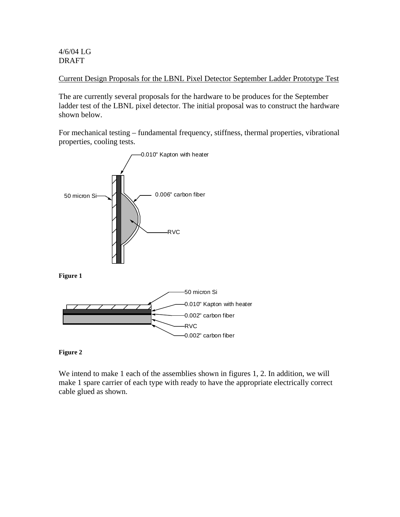4/6/04 LG DRAFT

Current Design Proposals for the LBNL Pixel Detector September Ladder Prototype Test

The are currently several proposals for the hardware to be produces for the September ladder test of the LBNL pixel detector. The initial proposal was to construct the hardware shown below.

For mechanical testing – fundamental frequency, stiffness, thermal properties, vibrational properties, cooling tests.





We intend to make 1 each of the assemblies shown in figures 1, 2. In addition, we will make 1 spare carrier of each type with ready to have the appropriate electrically correct cable glued as shown.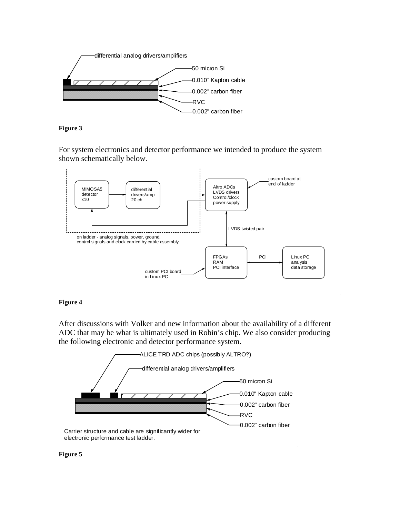

## **Figure 3**

For system electronics and detector performance we intended to produce the system shown schematically below.



## **Figure 4**

After discussions with Volker and new information about the availability of a different ADC that may be what is ultimately used in Robin's chip. We also consider producing the following electronic and detector performance system.



**Figure 5**